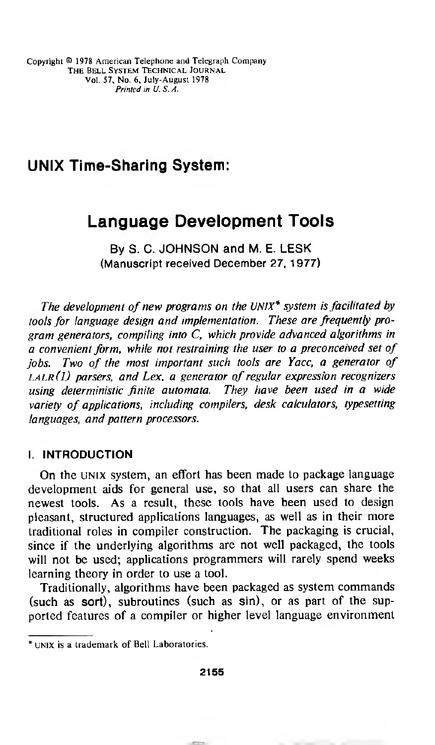# UNIX Time-Sharing System:

# Language Development Tools

By S. C. JOHNSON and M. E. LESK (Manuscript received December 27, 1977)

The development of new programs on the UNIX<sup>\*</sup> system is facilitated by tools for language design and implementation. These are frequently program generators, compiling into C, which provide advanced algorithms in a convenient form, while not restraining the user to a preconceived set of jobs. Two of the most important such tools are Yacc, a generator of  $LLR(I)$  parsers, and Lex, a generator of regular expression recognizers using deterministic finite automata. They have been used in a wide variety of applications, including compilers, desk calculators, typesetting languages, and pattern processors.

#### I. INTRODUCTION

On the UNIX system, an effort has been made to package language development aids for general use, so that all users can share the newest tools. As <sup>a</sup> result, these tools have been used to design pleasant, structured applications languages, as well as in their more traditional roles in compiler construction. The packaging is crucial, since if the underlying algorithms are not well packaged, the tools will not be used; applications programmers will rarely spend weeks learning theory in order to use a tool.

Traditionally, algorithms have been packaged as system commands (such as sort), subroutines (such as sin), or as part of the supported features of <sup>a</sup> compiler or higher level language environment

UNIX is a trademark of Bell Laboratories.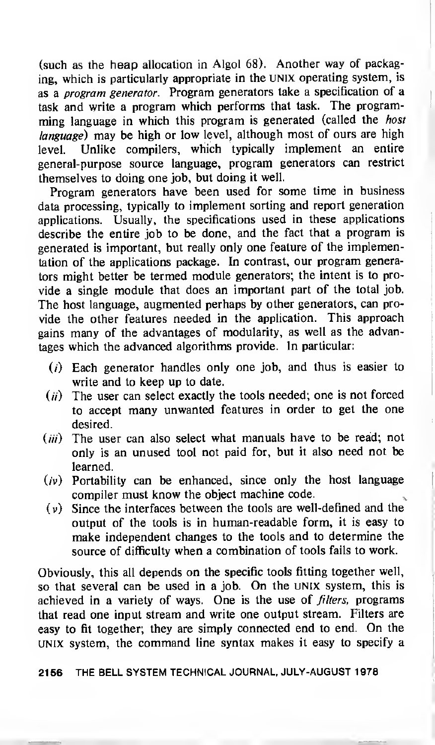(such as the heap allocation in Algol 68). Another way of packaging, which is particularly appropriate in the UNIX operating system, is as a program generator. Program generators take a specification of a task and write <sup>a</sup> program which performs that task. The programming language in which this program is generated (called the host language) may be high or low level, although most of ours are high level. Unlike compilers, which typically implement an entire general-purpose source language, program generators can restrict themselves to doing one job, but doing it well.

Program generators have been used for some time in business data processing, typically to implement sorting and report generation applications. Usually, the specifications used in these applications describe the entire job to be done, and the fact that a program is generated is important, but really only one feature of the implementation of the applications package. In contrast, our program generators might better be termed module generators; the intent is to provide a single module that does an important part of the total job. The host language, augmented perhaps by other generators, can provide the other features needed in the application. This approach gains many of the advantages of modularity, as well as the advantages which the advanced algorithms provide. In particular:

- (/) Each generator handles only one job, and thus is easier to write and to keep up to date.
- $(i)$  The user can select exactly the tools needed; one is not forced to accept many unwanted features in order to get the one desired.
- $(iii)$  The user can also select what manuals have to be read; not only is an unused tool not paid for, but it also need not be learned.
- $(v)$  Portability can be enhanced, since only the host language compiler must know the object machine code,
- $(v)$  Since the interfaces between the tools are well-defined and the output of the tools is in human-readable form, it is easy to make independent changes to the tools and to determine the source of difficulty when a combination of tools fails to work.

Obviously, this all depends on the specific tools fitting together well, so that several can be used in <sup>a</sup> job. On the UNIX system, this is achieved in a variety of ways. One is the use of *filters*, programs that read one input stream and write one output stream. Filters are easy to fit together; they are simply connected end to end. On the UNIX system, the command line syntax makes it easy to specify <sup>a</sup>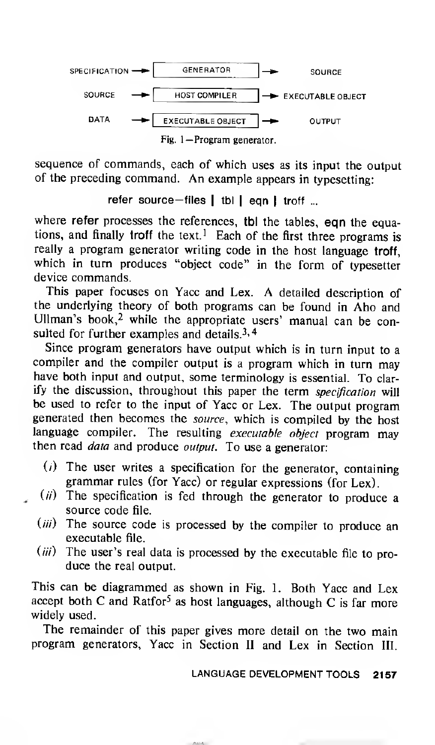

sequence of commands, each of which uses as its input the output of the preceding command. An example appears in typesetting:

refer source-files | tbl | eqn | troff ...

where refer processes the references, tbl the tables, eqn the equations, and finally troff the text.<sup>1</sup> Each of the first three programs is really <sup>a</sup> program generator writing code in the host language troff, which in turn produces "object code" in the form of typesetter device commands.

This paper focuses on Yacc and Lex. A detailed description of the underlying theory of both programs can be found in Aho and Ullman's book,<sup>2</sup> while the appropriate users' manual can be consulted for further examples and details.<sup>3, 4</sup>

Since program generators have output which is in turn input to a compiler and the compiler output is <sup>a</sup> program which in turn may have both input and output, some terminology is essential. To clarify the discussion, throughout this paper the term specification will be used to refer to the input of Yacc or Lex. The output program generated then becomes the source, which is compiled by the host language compiler. The resulting executable object program may then read *data* and produce output. To use a generator:

- $(i)$  The user writes a specification for the generator, containing grammar rules (for Yacc) or regular expressions (for Lex)
- $(i)$  The specification is fed through the generator to produce a source code file.
	- (iii) The source code is processed by the compiler to produce an executable file.
	- $(iii)$  The user's real data is processed by the executable file to produce the real output.

This can be diagrammed as shown in Fig. 1. Both Yacc and Lex accept both C and Ratfor<sup>5</sup> as host languages, although C is far more widely used.

The remainder of this paper gives more detail on the two main program generators, Yacc in Section II and Lex in Section III.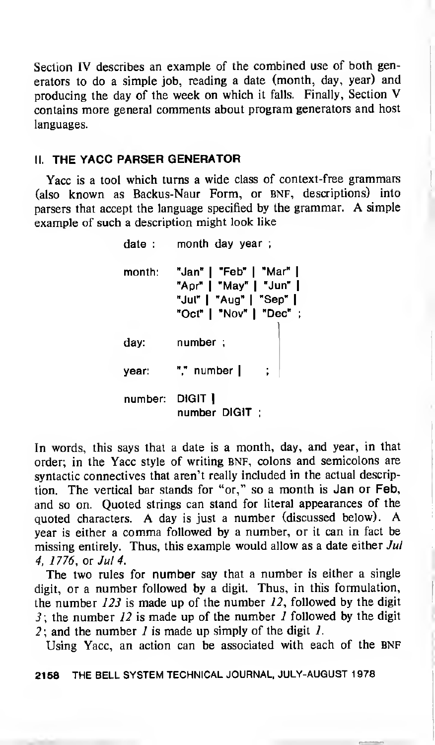Section IV describes an example of the combined use of both generators to do a simple job, reading <sup>a</sup> date (month, day, year) and producing the day of the week on which it falls. Finally, Section V contains more general comments about program generators and host languages.

### II. THE YACC PARSER GENERATOR

Yacc is <sup>a</sup> tool which turns <sup>a</sup> wide class of context-free grammars (also known as Backus-Naur Form, or BNF, descriptions) into parsers that accept the language specified by the grammar. A simple example of such a description might look like

> date : month day year; month: "Jan" <sup>|</sup> "Feb" <sup>|</sup> "Mar" <sup>|</sup> "Apr" <sup>|</sup> "May" <sup>|</sup> "Jun" <sup>|</sup> "Jul" <sup>|</sup> "Aug" <sup>|</sup> "Sep" <sup>|</sup> "Oct" <sup>|</sup> "Nov" <sup>|</sup> "Dec" ; day: number ; year: "," number | number: DIGIT <sup>|</sup> number DIGIT ;

In words, this says that a date is a month, day, and year, in that order; in the Yacc style of writing BNF, colons and semicolons are syntactic connectives that aren't really included in the actual description. The vertical bar stands for "or," so <sup>a</sup> month is Jan or Feb, and so on. Quoted strings can stand for literal appearances of the quoted characters. A day is just <sup>a</sup> number (discussed below). A year is either <sup>a</sup> comma followed by <sup>a</sup> number, or it can in fact be missing entirely. Thus, this example would allow as a date either Jul 4, 1776, or Jul 4.

The two rules for number say that <sup>a</sup> number is either <sup>a</sup> single digit, or a number followed by a digit. Thus, in this formulation, the number  $123$  is made up of the number  $12$ , followed by the digit 3; the number  $12$  is made up of the number  $1$  followed by the digit 2; and the number  $I$  is made up simply of the digit  $I$ .

Using Yacc, an action can be associated with each of the BNF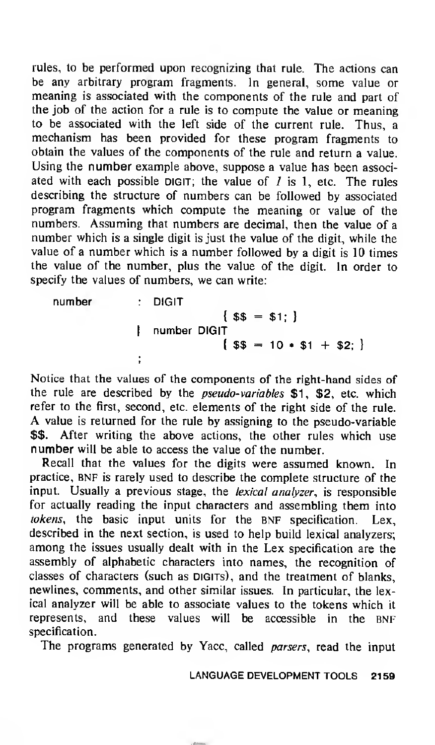rules, to be performed upon recognizing that rule. The actions can be any arbitrary program fragments. In general, some value or meaning is associated with the components of the rule and part of the job of the action for a rule is to compute the value or meaning to be associated with the left side of the current rule. Thus, a mechanism has been provided for these program fragments to obtain the values of the components of the rule and return a value. Using the number example above, suppose <sup>a</sup> value has been associated with each possible DIGIT; the value of  $I$  is 1, etc. The rules describing the structure of numbers can be followed by associated program fragments which compute the meaning or value of the numbers. Assuming that numbers are decimal, then the value of a number which is a single digit is just the value of the digit, while the value of a number which is <sup>a</sup> number followed by a digit is 10 times the value of the number, plus the value of the digit. In order to specify the values of numbers, we can write:

number DIGIT  ${55 = $1;}$ <sup>|</sup> number DIGIT  $\{$  \$\$ = 10 + \$1 + \$2; }

Notice that the values of the components of the right-hand sides of the rule are described by the *pseudo-variables* \$1, \$2, etc. which refer to the first, second, etc. elements of the right side of the rule. A value is returned for the rule by assigning to the pseudo-variable \$\$. After writing the above actions, the other rules which use number will be able to access the value of the number.

Recall that the values for the digits were assumed known. In practice, BNF is rarely used to describe the complete structure of the input. Usually a previous stage, the *lexical analyzer*, is responsible for actually reading the input characters and assembling them into tokens, the basic input units for the BNF specification. Lex, described in the next section, is used to help build lexical analyzers; among the issues usually dealt with in the Lex specification are the assembly of alphabetic characters into names, the recognition of classes of characters (such as DIGITs), and the treatment of blanks, newlines, comments, and other similar issues. In particular, the lexical analyzer will be able to associate values to the tokens which it represents, and these values will be accessible in the BNF specification.

The programs generated by Yacc, called *parsers*, read the input

LANGUAGE DEVELOPMENT TOOLS 2159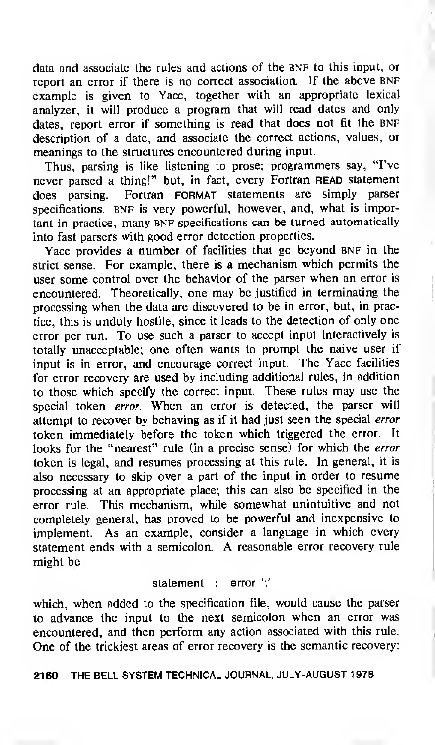data and associate the rules and actions of the BNF to this input, or report an error if there is no correct association. If the above BNF example is given to Yacc, together with an appropriate lexical analyzer, it will produce a program that will read dates and only dates, report error if something is read that does not fit the BNF description of a date, and associate the correct actions, values, or meanings to the structures encountered during input.

Thus, parsing is like listening to prose; programmers say, "I've never parsed a thing!" but, in fact, every Fortran READ statement does parsing. Fortran FORMAT statements are simply parser specifications. BNF is very powerful, however, and, what is important in practice, many BNF specifications can be turned automatically into fast parsers with good error detection properties.

Yacc provides a number of facilities that go beyond BNF in the strict sense. For example, there is <sup>a</sup> mechanism which permits the user some control over the behavior of the parser when an error is encountered. Theoretically, one may be justified in terminating the processing when the data are discovered to be in error, but, in practice, this is unduly hostile, since it leads to the detection of only one error per run. To use such a parser to accept input interactively is totally unacceptable; one often wants to prompt the naive user if input is in error, and encourage correct input. The Yacc facilities for error recovery are used by including additional rules, in addition to those which specify the correct input. These rules may use the special token error. When an error is detected, the parser will attempt to recover by behaving as if it had just seen the special error token immediately before the token which triggered the error. It looks for the "nearest" rule (in a precise sense) for which the error token is legal, and resumes processing at this rule. In general, it is also necessary to skip over <sup>a</sup> part of the input in order to resume processing at an appropriate place; this can also be specified in the error rule. This mechanism, while somewhat unintuitive and not completely general, has proved to be powerful and inexpensive to implement. As an example, consider a language in which every statement ends with <sup>a</sup> semicolon. A reasonable error recovery rule might be

#### statement : error ';'

which, when added to the specification file, would cause the parser to advance the input to the next semicolon when an error was encountered, and then perform any action associated with this rule. One of the trickiest areas of error recovery is the semantic recovery: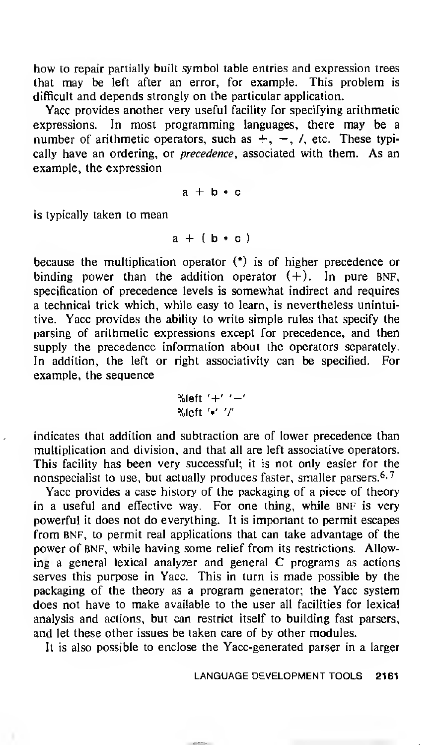how to repair partially built symbol table entries and expression trees that may be left after an error, for example. This problem is difficult and depends strongly on the particular application.

Yacc provides another very useful facility for specifying arithmetic expressions. In most programming languages, there may be <sup>a</sup> number of arithmetic operators, such as  $+$ ,  $-$ ,  $/$ , etc. These typically have an ordering, or *precedence*, associated with them. As an example, the expression

 $a + b \cdot c$ 

is typically taken to mean

 $a + (b \cdot c)$ 

because the multiplication operator (\*) is of higher precedence or binding power than the addition operator  $(+)$ . In pure BNF, specification of precedence levels is somewhat indirect and requires a technical trick which, while easy to learn, is nevertheless unintuitive. Yacc provides the ability to write simple rules that specify the parsing of arithmetic expressions except for precedence, and then supply the precedence information about the operators separately. In addition, the left or right associativity can be specified. For example, the sequence

$$
\text{\%left} t' + t' - t' - t
$$
\n
$$
\text{\%left} t' + t' + t''
$$

indicates that addition and subtraction are of lower precedence than multiplication and division, and that all are left associative operators. This facility has been very successful; it is not only easier for the nonspecialist to use, but actually produces faster, smaller parsers.  $6,7$ 

Yacc provides a case history of the packaging of a piece of theory in a useful and effective way. For one thing, while BNF is very powerful it does not do everything. It is important to permit escapes from BNF, to permit real applications that can take advantage of the power of BNF, while having some relief from its restrictions. Allowing <sup>a</sup> general lexical analyzer and general C programs as actions serves this purpose in Yacc. This in turn is made possible by the packaging of the theory as a program generator; the Yacc system does not have to make available to the user all facilities for lexical analysis and actions, but can restrict itself to building fast parsers, and let these other issues be taken care of by other modules.

It is also possible to enclose the Yacc-generated parser in a larger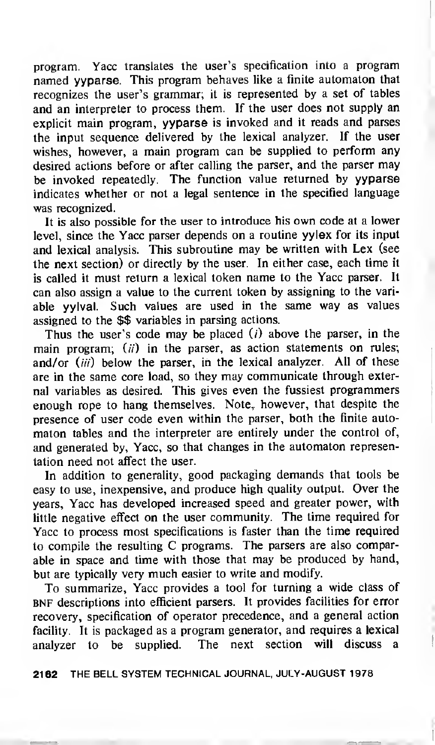program. Yacc translates the user's specification into a program named yyparse. This program behaves like <sup>a</sup> finite automaton that recognizes the user's grammar; it is represented by a set of tables and an interpreter to process them. If the user does not supply an explicit main program, yyparse is invoked and it reads and parses the input sequence delivered by the lexical analyzer. If the user wishes, however, a main program can be supplied to perform any desired actions before or after calling the parser, and the parser may be invoked repeatedly. The function value returned by yyparse indicates whether or not a legal sentence in the specified language was recognized.

It is also possible for the user to introduce his own code at <sup>a</sup> lower level, since the Yacc parser depends on a routine yylex for its input and lexical analysis. This subroutine may be written with Lex (see the next section) or directly by the user. In either case, each time it is called it must return <sup>a</sup> lexical token name to the Yacc parser. It can also assign a value to the current token by assigning to the variable yylval. Such values are used in the same way as values assigned to the \$\$ variables in parsing actions.

Thus the user's code may be placed  $(i)$  above the parser, in the main program;  $(ii)$  in the parser, as action statements on rules; and/or  $(iii)$  below the parser, in the lexical analyzer. All of these are in the same core load, so they may communicate through external variables as desired. This gives even the fussiest programmers enough rope to hang themselves. Note, however, that despite the presence of user code even within the parser, both the finite automaton tables and the interpreter are entirely under the control of, and generated by, Yacc, so that changes in the automaton representation need not affect the user.

In addition to generality, good packaging demands that tools be easy to use, inexpensive, and produce high quality output. Over the years, Yacc has developed increased speed and greater power, with little negative effect on the user community. The time required for Yacc to process most specifications is faster than the time required to compile the resulting C programs. The parsers are also comparable in space and time with those that may be produced by hand, but are typically very much easier to write and modify.

To summarize, Yacc provides <sup>a</sup> tool for turning a wide class of bnf descriptions into efficient parsers. It provides facilities for error recovery, specification of operator precedence, and a general action facility. It is packaged as a program generator, and requires a lexical analyzer to be supplied. The next section will discuss a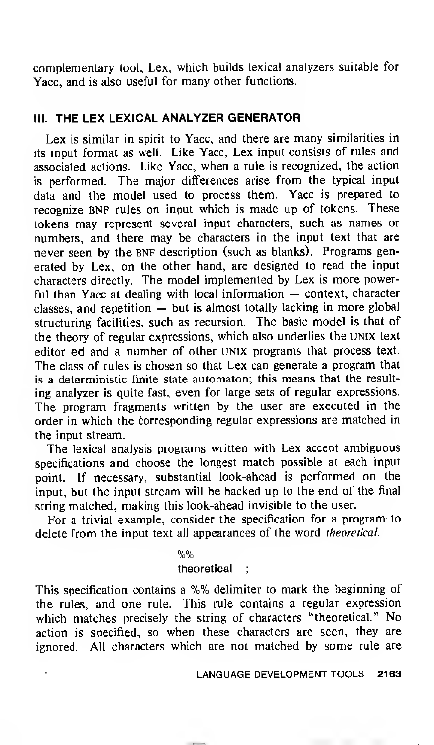complementary tool, Lex, which builds lexical analyzers suitable for Yacc, and is also useful for many other functions.

# III. THE LEX LEXICAL ANALYZER GENERATOR

Lex is similar in spirit to Yacc, and there are many similarities in its input format as well. Like Yacc, Lex input consists of rules and associated actions. Like Yacc, when a rule is recognized, the action is performed. The major differences arise from the typical input data and the model used to process them. Yacc is prepared to recognize BNF rules on input which is made up of tokens. These tokens may represent several input characters, such as names or numbers, and there may be characters in the input text that are never seen by the BNF description (such as blanks). Programs generated by Lex, on the other hand, are designed to read the input characters directly. The model implemented by Lex is more powerful than Yacc at dealing with local information — context, character classes, and repetition — but is almost totally lacking in more global structuring facilities, such as recursion. The basic model is that of the theory of regular expressions, which also underlies the UNIX text editor ed and a number of other UNIX programs that process text. The class of rules is chosen so that Lex can generate <sup>a</sup> program that is a deterministic finite state automaton; this means that the resulting analyzer is quite fast, even for large sets of regular expressions. The program fragments written by the user are executed in the order in which the corresponding regular expressions are matched in the input stream.

The lexical analysis programs written with Lex accept ambiguous specifications and choose the longest match possible at each input point. If necessary, substantial look-ahead is performed on the input, but the input stream will be backed up to the end of the final string matched, making this look-ahead invisible to the user.

For <sup>a</sup> trivial example, consider the specification for a program to delete from the input text all appearances of the word theoretical.

%%

#### theoretical ;

This specification contains <sup>a</sup> %% delimiter to mark the beginning of the rules, and one rule. This rule contains a regular expression which matches precisely the string of characters "theoretical." No action is specified, so when these characters are seen, they are ignored. All characters which are not matched by some rule are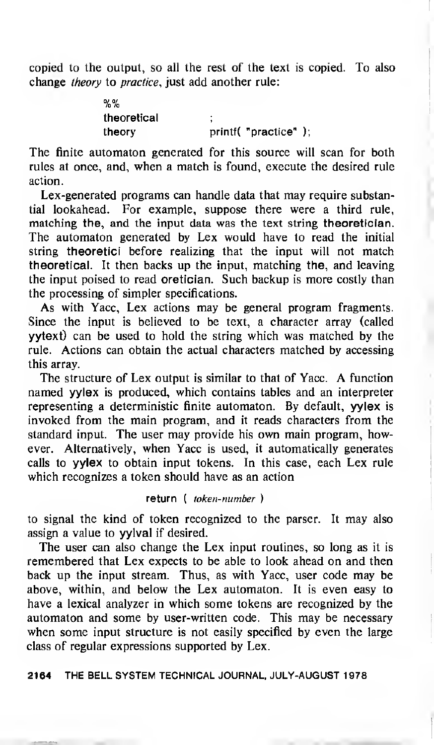copied to the output, so all the rest of the text is copied. To also change theory to practice, just add another rule:

> 0/ 0/ /o /o theoretical ; theory printf( "practice" );

The finite automaton generated for this source will scan for both rules at once, and, when a match is found, execute the desired rule action.

Lex-generated programs can handle data that may require substantial lookahead. For example, suppose there were a third rule, matching the, and the input data was the text string theoretician. The automaton generated by Lex would have to read the initial string theoretici before realizing that the input will not match theoretical. It then backs up the input, matching the, and leaving the input poised to read oretician. Such backup is more costly than the processing of simpler specifications.

As with Yacc, Lex actions may be general program fragments. Since the input is believed to be text, a character array (called yytext) can be used to hold the string which was matched by the rule. Actions can obtain the actual characters matched by accessing this array.

The structure of Lex output is similar to that of Yacc. A function named yylex is produced, which contains tables and an interpreter representing a deterministic finite automaton. By default, yylex is invoked from the main program, and it reads characters from the standard input. The user may provide his own main program, however. Alternatively, when Yacc is used, it automatically generates calls to yylex to obtain input tokens. In this case, each Lex rule which recognizes a token should have as an action

## return ( token-number )

to signal the kind of token recognized to the parser. It may also assign a value to yylval if desired.

The user can also change the Lex input routines, so long as it is remembered that Lex expects to be able to look ahead on and then back up the input stream. Thus, as with Yacc, user code may be above, within, and below the Lex automaton. It is even easy to have a lexical analyzer in which some tokens are recognized by the automaton and some by user-written code. This may be necessary when some input structure is not easily specified by even the large class of regular expressions supported by Lex.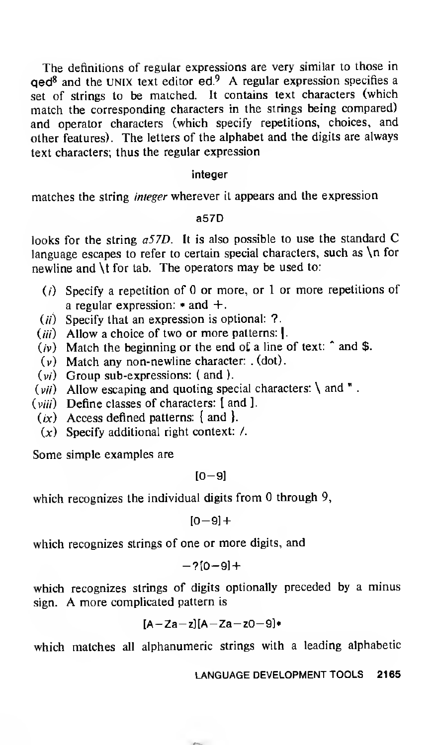The definitions of regular expressions are very similar to those in qed<sup>8</sup> and the UNIX text editor ed.<sup>9</sup> A regular expression specifies <sup>a</sup> set of strings to be matched. It contains text characters (which match the corresponding characters in the strings being compared) and operator characters (which specify repetitions, choices, and other features). The letters of the alphabet and the digits are always text characters; thus the regular expression

#### integer

matches the string integer wherever it appears and the expression

#### a57D

looks for the string a57D. It is also possible to use the standard C language escapes to refer to certain special characters, such as \n for newline and \t for tab. The operators may be used to:

- ( $i$ ) Specify a repetition of 0 or more, or 1 or more repetitions of a regular expression:  $*$  and  $+$ .
- $(ii)$  Specify that an expression is optional: ?.
- (iii) Allow a choice of two or more patterns: I.
- $(iv)$  Match the beginning or the end of a line of text:  $\hat{ }$  and \$.
- (v) Match any non-newline character: . (dot).
- (w) Group sub-expressions: ( and ).
- $(vii)$  Allow escaping and quoting special characters: \ and ".
- $(viii)$  Define classes of characters:  $[$  and  $]$ .
- $(ix)$  Access defined patterns: { and }.
- $(x)$  Specify additional right context: /.

Some simple examples are

$$
[0-9]
$$

which recognizes the individual digits from  $0$  through  $9$ ,

 $[0-9]+$ 

which recognizes strings of one or more digits, and

$$
-2[0-9]+
$$

which recognizes strings of digits optionally preceded by a minus sign. A more complicated pattern is

$$
[A-Za-z][A-Za-z0-9]*
$$

which matches all alphanumeric strings with a leading alphabetic

LANGUAGE DEVELOPMENT TOOLS 2165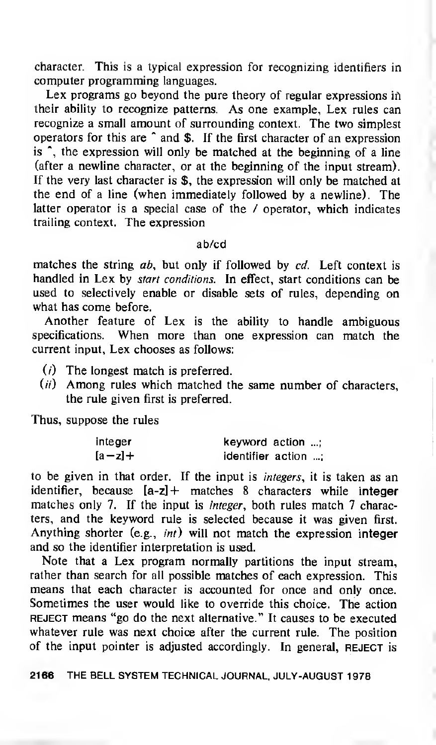character. This is a typical expression for recognizing identifiers in computer programming languages.

Lex programs go beyond the pure theory of regular expressions in their ability to recognize patterns. As one example, Lex rules can recognize a small amount of surrounding context. The two simplest operators for this are \* and \$. If the first character of an expression is  $\hat{ }$ , the expression will only be matched at the beginning of a line (after a newline character, or at the beginning of the input stream). If the very last character is \$, the expression will only be matched at the end of a line (when immediately followed by a newline). The latter operator is a special case of the / operator, which indicates trailing context. The expression

#### ab/cd

matches the string  $ab$ , but only if followed by  $cd$ . Left context is handled in Lex by start conditions. In effect, start conditions can be used to selectively enable or disable sets of rules, depending on what has come before.

Another feature of Lex is the ability to handle ambiguous specifications. When more than one expression can match the current input, Lex chooses as follows:

- $(i)$  The longest match is preferred.
- $(ii)$  Among rules which matched the same number of characters, the rule given first is preferred.

Thus, suppose the rules

| integer  | keyword action      |  |
|----------|---------------------|--|
| $[a-z]+$ | identifier action : |  |

to be given in that order. If the input is integers, it is taken as an identifier, because  $[a-z]$  + matches 8 characters while integer matches only 7. If the input is *integer*, both rules match 7 characters, and the keyword rule is selected because it was given first. Anything shorter (e.g., *int*) will not match the expression integer and so the identifier interpretation is used.

Note that a Lex program normally partitions the input stream, rather than search for all possible matches of each expression. This means that each character is accounted for once and only once. Sometimes the user would like to override this choice. The action REJECT means "go do the next alternative." It causes to be executed whatever rule was next choice after the current rule. The position of the input pointer is adjusted accordingly. In general, REJECT is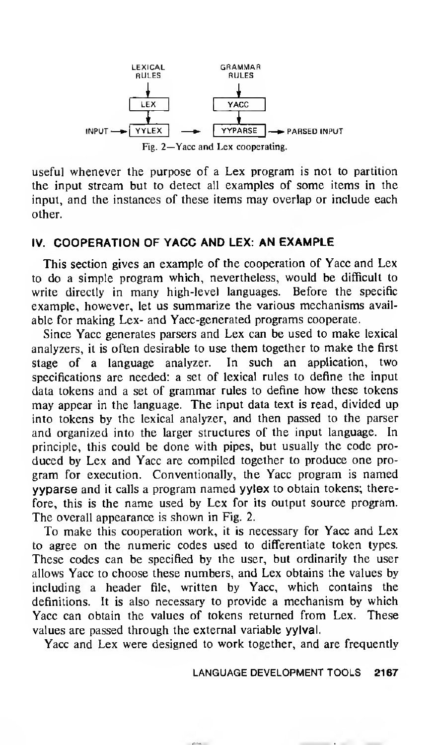

useful whenever the purpose of a Lex program is not to partition the input stream but to detect all examples of some items in the input, and the instances of these items may overlap or include each other.

## IV. COOPERATION OF YACC AND LEX: AN EXAMPLE

This section gives an example of the cooperation of Yacc and Lex to do a simple program which, nevertheless, would be difficult to write directly in many high-level languages. Before the specific example, however, let us summarize the various mechanisms available for making Lex- and Yacc-generated programs cooperate.

Since Yacc generates parsers and Lex can be used to make lexical analyzers, it is often desirable to use them together to make the first stage of a language analyzer. In such an application, two specifications are needed: a set of lexical rules to define the input data tokens and <sup>a</sup> set of grammar rules to define how these tokens may appear in the language. The input data text is read, divided up into tokens by the lexical analyzer, and then passed to the parser and organized into the larger structures of the input language. In principle, this could be done with pipes, but usually the code produced by Lex and Yacc are compiled together to produce one program for execution. Conventionally, the Yacc program is named yyparse and it calls <sup>a</sup> program named yylex to obtain tokens; therefore, this is the name used by Lex for its output source program. The overall appearance is shown in Fig. 2.

To make this cooperation work, it is necessary for Yacc and Lex to agree on the numeric codes used to differentiate token types. These codes can be specified by the user, but ordinarily the user allows Yacc to choose these numbers, and Lex obtains the values by including a header file, written by Yacc, which contains the definitions. It is also necessary to provide a mechanism by which Yacc can obtain the values of tokens returned from Lex. These values are passed through the external variable yylval.

Yacc and Lex were designed to work together, and are frequently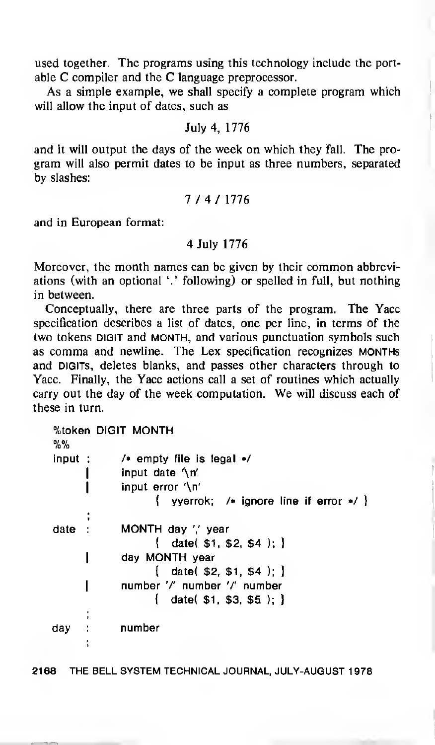used together. The programs using this technology include the portable C compiler and the C language preprocessor.

As a simple example, we shall specify a complete program which will allow the input of dates, such as

July 4, 1776

and it will output the days of the week on which they fall. The program will also permit dates to be input as three numbers, separated by slashes:

$$
7\; / \;4\; / \;1776
$$

and in European format:

#### 4 July 1776

Moreover, the month names can be given by their common abbreviations (with an optional '.'following) or spelled in full, but nothing in between.

Conceptually, there are three parts of the program. The Yacc specification describes a list of dates, one per line, in terms of the two tokens DIGIT and MONTH, and various punctuation symbols such as comma and newline. The Lex specification recognizes months and DIGITs, deletes blanks, and passes other characters through to Yacc. Finally, the Yacc actions call a set of routines which actually carry out the day of the week computation. We will discuss each of these in turn.

| %%     |   | %token DIGIT MONTH                                |  |  |
|--------|---|---------------------------------------------------|--|--|
| input: |   | $\prime$ empty file is legal $\prime$             |  |  |
|        |   | input date $\ln$                                  |  |  |
|        |   | input error $\ln$                                 |  |  |
|        |   | $\{$ verrok: / ignore line if error $\ast$ / $\}$ |  |  |
|        | , |                                                   |  |  |
| date   |   | MONTH day ',' year                                |  |  |
|        |   | $\{$ date( \$1, \$2, \$4); $\}$                   |  |  |
|        |   | day MONTH year                                    |  |  |
|        |   | $\{$ date (\$2, \$1, \$4); $\}$                   |  |  |
|        |   | number '/' number '/' number                      |  |  |
|        |   | $\{$ date( \$1, \$3, \$5); $\}$                   |  |  |
|        |   |                                                   |  |  |
| day    |   | number                                            |  |  |
|        |   |                                                   |  |  |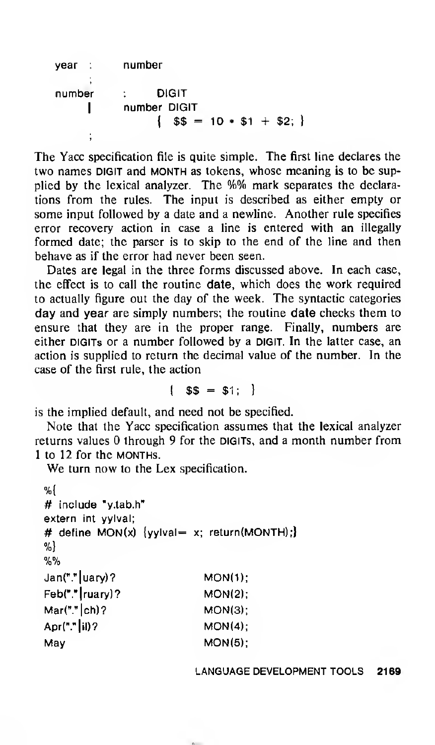| vear : l | number                       |
|----------|------------------------------|
|          |                              |
| number   | <b>DIGIT</b><br>$\sim 1000$  |
|          | number DIGIT                 |
|          | $\{ $\$$ = 10 * $1 + $2; \}$ |
|          |                              |

The Yacc specification file is quite simple. The first line declares the two names DIGIT and MONTH as tokens, whose meaning is to be supplied by the lexical analyzer. The %% mark separates the declarations from the rules. The input is described as either empty or some input followed by <sup>a</sup> date and a newline. Another rule specifies error recovery action in case a line is entered with an illegally formed date; the parser is to skip to the end of the line and then behave as if the error had never been seen.

Dates are legal in the three forms discussed above. In each case, the effect is to call the routine date, which does the work required to actually figure out the day of the week. The syntactic categories day and year are simply numbers; the routine date checks them to ensure that they are in the proper range. Finally, numbers are either DIGITs or a number followed by a DIGIT. In the latter case, an action is supplied to return the decimal value of the number. In the case of the first rule, the action

 ${1}$  \$\$ = \$1; }

is the implied default, and need not be specified.

Note that the Yacc specification assumes that the lexical analyzer returns values  $\theta$  through 9 for the digits, and a month number from <sup>1</sup> to 12 for the months.

We turn now to the Lex specification.

```
%{
# include "y.tab.h"
extern int yylval;
# define MON(x) \{vylval= x; return(MONTH);
%}
%%
Jan("." | uary) ? MON(1);
Feb("."|ruary)? MON(2):
Mar("." |ch)? MON(3);
Apr("."|il)? MON(4);
May MON(5):
```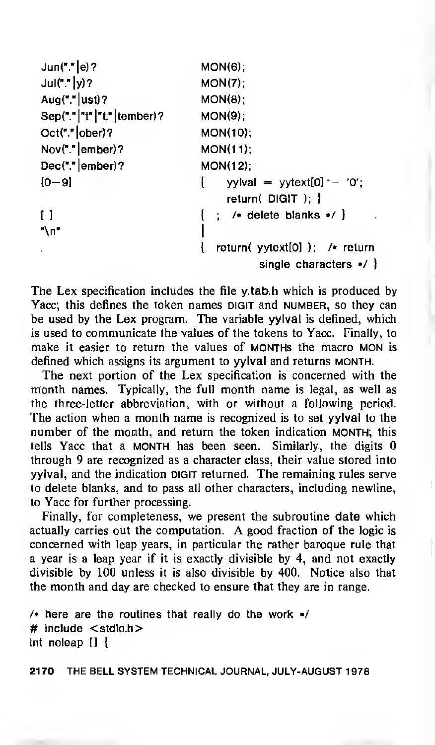| Jun("."  e) ?             | MON(6)                                                            |
|---------------------------|-------------------------------------------------------------------|
| $Jul(""]y)$ ?             | MON(7)                                                            |
| Aug("." $ $ ust)?         | MON(8)                                                            |
| Sep("." "t" "t." tember)? | MON(9)                                                            |
| Oct(""]ober?              | MON(10);                                                          |
| $Nov(""]$ ember)?         | <b>MON(11);</b>                                                   |
| $Dec(""]$ ember)?         | $MON(12)$ :                                                       |
| $[0 - 9]$                 | yylval = yytext[0] $-$ '0';<br>ł.<br>$return($ DIGIT $);$ }       |
| $\Box$                    | $\{\cdot\colon$ /* delete blanks */ }                             |
| "∖п"                      |                                                                   |
|                           | return( $yytext[0]$ ); /* return<br>single characters $\cdot$ / } |

The Lex specification includes the file y.tab.h which is produced by Yacc; this defines the token names DIGIT and NUMBER, so they can be used by the Lex program. The variable yylval is defined, which is used to communicate the values of the tokens to Yacc. Finally, to make it easier to return the values of MONTHs the macro MON is defined which assigns its argument to yylval and returns month.

The next portion of the Lex specification is concerned with the month names. Typically, the full month name is legal, as well as the three-letter abbreviation, with or without a following period. The action when a month name is recognized is to set yylval to the number of the month, and return the token indication month; this tells Yacc that <sup>a</sup> MONTH has been seen. Similarly, the digits through 9 are recognized as a character class, their value stored into yylval, and the indication digit returned. The remaining rules serve to delete blanks, and to pass all other characters, including newline, to Yacc for further processing.

Finally, for completeness, we present the subroutine date which actually carries out the computation. A good fraction of the logic is concerned with leap years, in particular the rather baroque rule that a year is a leap year if it is exactly divisible by 4, and not exactly divisible by 100 unless it is also divisible by 400. Notice also that the month and day are checked to ensure that they are in range.

```
/* here are the routines that really do the work */# include <stdio.h>
int noleap [] {
```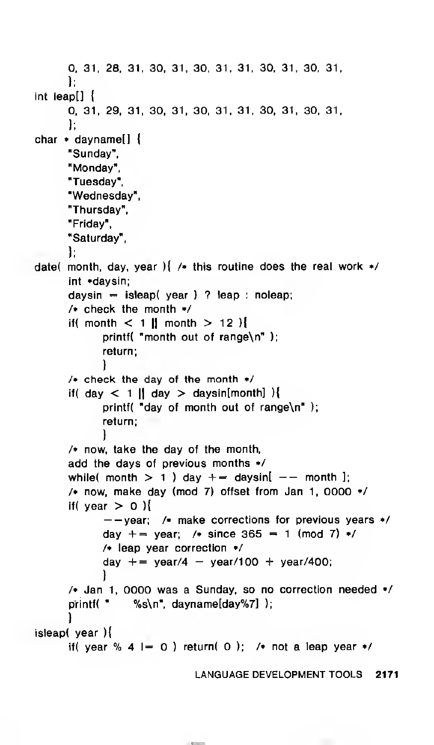```
0, 31, 28, 31, 30, 31, 30, 31, 31, 30, 31, 30, 31,
      };
int leapt] {
      0, 31, 29, 31, 30, 31, 30, 31, 31, 30, 31, 30, 31,
      };
char * dayname[] {
      "Sunday",
      "Monday",
      "Tuesday",
      "Wednesday",
      "Thursday",
      "Friday",
      "Saturday",
      };
date( month, day, year ) \frac{1}{2} /* this routine does the real work */
      int *daysin;
      daysin = isleap( year ) ? leap : noleap;
      /* check the month */
      if( month < 1 || month > 12 )
            printf( "month out of range\n" );
            return;
            }
      /* check the day of the month */
      if( day \lt 1 || day > daysin[month] ){
            printf( "day of month out of range\n" );
            return;
            }
      /• now, take the day of the month,
      add the days of previous months */
      while( month > 1 ) day += daysin[ -- month ];
      /* now, make day (mod 7) offset from Jan 1, 0000 */
      if( year > 0 ){<br>--vear: /* make corrections for previous years */
            day += year; /* since 365 = 1 (mod 7) */
            /* leap year correction */
            day += year/4 - year/100 + year/400;
            ,
      /* Jan 1, 0000 was a Sunday, so no correction needed •/
      printf( " %s\n", dayname[day%7] );
      }
isleap( year ){
      if( year % 4 \vert = 0 ) return( 0 ); /* not a leap year */
```
LANGUAGE DEVELOPMENT TOOLS 2171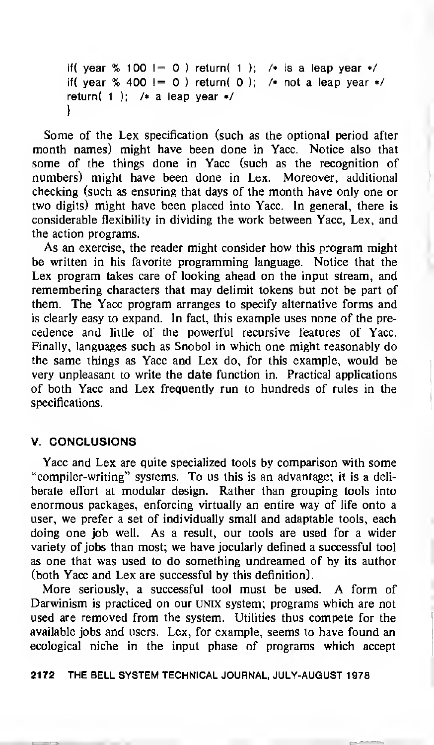```
if( year % 100 \vert = 0 ) return( 1 ); /* is a leap year */
if( year % 400 != 0) return( 0); /• not a leap year */return( 1 ); /\star a leap year \star/
}
```
Some of the Lex specification (such as the optional period after month names) might have been done in Yacc. Notice also that some of the things done in Yacc (such as the recognition of numbers) might have been done in Lex. Moreover, additional checking (such as ensuring that days of the month have only one or two digits) might have been placed into Yacc. In general, there is considerable flexibility in dividing the work between Yacc, Lex, and the action programs.

As an exercise, the reader might consider how this program might be written in his favorite programming language. Notice that the Lex program takes care of looking ahead on the input stream, and remembering characters that may delimit tokens but not be part of them. The Yacc program arranges to specify alternative forms and is clearly easy to expand. In fact, this example uses none of the precedence and little of the powerful recursive features of Yacc. Finally, languages such as Snobol in which one might reasonably do the same things as Yacc and Lex do, for this example, would be very unpleasant to write the date function in. Practical applications of both Yacc and Lex frequently run to hundreds of rules in the specifications.

#### V. CONCLUSIONS

Yacc and Lex are quite specialized tools by comparison with some "compiler-writing" systems. To us this is an advantage; it is a deliberate effort at modular design. Rather than grouping tools into enormous packages, enforcing virtually an entire way of life onto a user, we prefer a set of individually small and adaptable tools, each doing one job well. As a result, our tools are used for a wider variety of jobs than most; we have jocularly defined <sup>a</sup> successful tool as one that was used to do something undreamed of by its author (both Yacc and Lex are successful by this definition).

More seriously, <sup>a</sup> successful tool must be used. A form of Darwinism is practiced on our UNIX system; programs which are not used are removed from the system. Utilities thus compete for the available jobs and users. Lex, for example, seems to have found an ecological niche in the input phase of programs which accept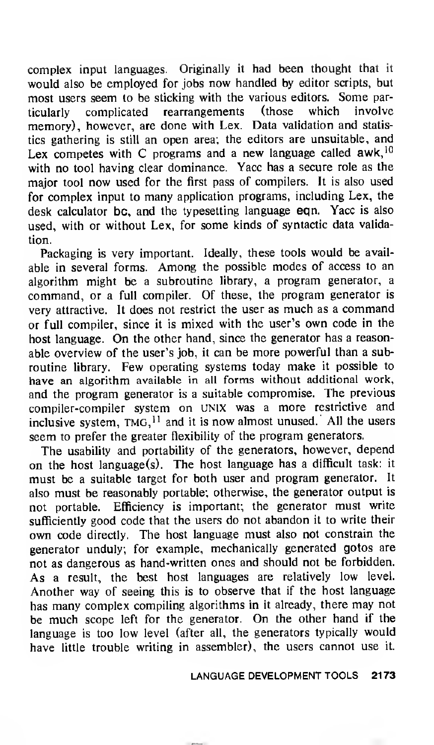complex input languages. Originally it had been thought that it would also be employed for jobs now handled by editor scripts, but most users seem to be sticking with the various editors. Some par-<br>ticularly complicated rearrangements (those which involve ticularly complicated memory), however, are done with Lex. Data validation and statistics gathering is still an open area; the editors are unsuitable, and Lex competes with C programs and a new language called  $a$ wk,  $10$ with no tool having clear dominance. Yacc has a secure role as the major tool now used for the first pass of compilers. It is also used for complex input to many application programs, including Lex, the desk calculator be, and the typesetting language eqn. Yacc is also used, with or without Lex, for some kinds of syntactic data validation.

Packaging is very important. Ideally, these tools would be available in several forms. Among the possible modes of access to an algorithm might be <sup>a</sup> subroutine library, <sup>a</sup> program generator, a command, or a full compiler. Of these, the program generator is very attractive. It does not restrict the user as much as a command or full compiler, since it is mixed with the user's own code in the host language. On the other hand, since the generator has <sup>a</sup> reasonable overview of the user's job, it can be more powerful than a subroutine library. Few operating systems today make it possible to have an algorithm available in all forms without additional work, and the program generator is <sup>a</sup> suitable compromise. The previous compiler-compiler system on UNIX was <sup>a</sup> more restrictive and inclusive system,  $TMG<sub>11</sub>$  and it is now almost unused. All the users seem to prefer the greater flexibility of the program generators.

The usability and portability of the generators, however, depend on the host language(s). The host language has <sup>a</sup> difficult task: it must be a suitable target for both user and program generator. It also must be reasonably portable; otherwise, the generator output is not portable. Efficiency is important; the generator must write sufficiently good code that the users do not abandon it to write their own code directly. The host language must also not constrain the generator unduly; for example, mechanically generated gotos are not as dangerous as hand-written ones and should not be forbidden. As a result, the best host languages are relatively low level. Another way of seeing this is to observe that if the host language has many complex compiling algorithms in it already, there may not be much scope left for the generator. On the other hand if the language is too low level (after all, the generators typically would have little trouble writing in assembler), the users cannot use it.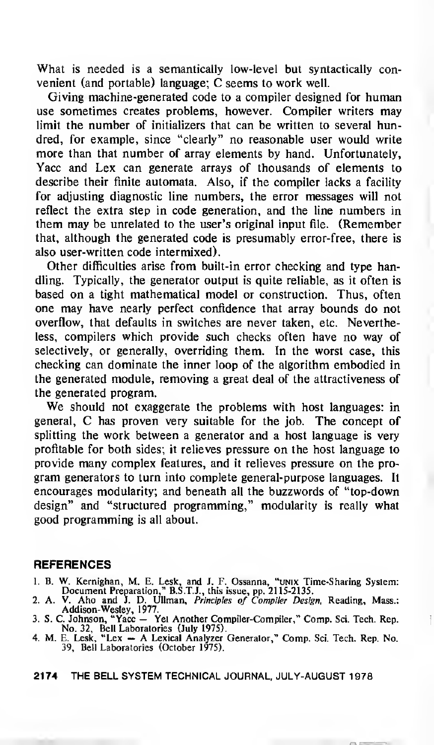What is needed is a semantically low-level but syntactically convenient (and portable) language; C seems to work well.

Giving machine-generated code to a compiler designed for human use sometimes creates problems, however. Compiler writers may limit the number of initializers that can be written to several hundred, for example, since "clearly" no reasonable user would write more than that number of array elements by hand. Unfortunately, Yacc and Lex can generate arrays of thousands of elements to describe their finite automata. Also, if the compiler lacks a facility for adjusting diagnostic line numbers, the error messages will not reflect the extra step in code generation, and the line numbers in them may be unrelated to the user's original input file. (Remember that, although the generated code is presumably error-free, there is also user-written code intermixed).

Other difficulties arise from built-in error checking and type handling. Typically, the generator output is quite reliable, as it often is based on a tight mathematical model or construction. Thus, often one may have nearly perfect confidence that array bounds do not overflow, that defaults in switches are never taken, etc. Nevertheless, compilers which provide such checks often have no way of selectively, or generally, overriding them. In the worst case, this checking can dominate the inner loop of the algorithm embodied in the generated module, removing a great deal of the attractiveness of the generated program.

We should not exaggerate the problems with host languages: in general, C has proven very suitable for the job. The concept of splitting the work between a generator and a host language is very profitable for both sides; it relieves pressure on the host language to provide many complex features, and it relieves pressure on the program generators to turn into complete general-purpose languages. It encourages modularity; and beneath all the buzzwords of "top-down design" and "structured programming," modularity is really what good programming is all about.

#### REFERENCES

- 1. B. W. Kernighan, M. E. Lesk, and J. F. Ossanna, "unix Time-Sharing System: Document Preparation," B.S.T.J., this issue, pp. 2115-2135.
- 2. A. V. Aho and J. D. Ullman, *Principles of Compiler Design*, Reading, Mass.:<br>Addison-Wesley, 1977.<br>3. S. C. Johnson, "Yacc Yet Another Compiler-Compiler," Comp. Sci. Tech. Rep.
- 
- No. 32, Bell Laboratories (July 1975). 4. M. E. Lesk, "Lex A Lexical Analyzer Generator," Comp. Sci. Tech. Rep. No. 39, Bell Laboratories (October 1975).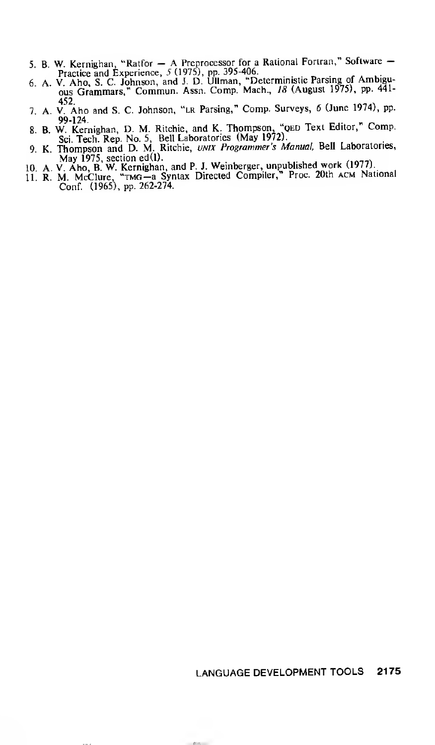- 
- 5. B. W. Kernighan, "Ratfor  $-$  A Preprocessor for a Rational Fortran," Software  $-$ <br>Practice and Experience, 5 (1975), pp. 395-406.<br>6. A. V. Aho, S. C. Johnson, and J. D. Ullman, "Deterministic Parsing of Ambiguous Gramm
- 452 7. A. V. Aho and S. C. Johnson, "lr Parsing," Comp. Surveys, <sup>6</sup> (June 1974), pp.
- 99-124 8. B. W. Kernighan, D. M. Ritchie, and K. Thompson, "qed Text Editor," Comp. Sci. Tech. Rep. No. 5, Bell Laboratories (May 1972).
- 9. K. Thompson and D. M. Ritchie, UNIX Programmer's Manual, Bell Laboratories,
- 
- May 1975, section ed(l).<br>10. A. V. Aho, B. W. Kernighan, and P. J. Weinberger, unpublished work (1977).<br>11. R. M. McClure, "TMG—a Syntax Directed Compiler," Proc. 20th ACM National<br>Conf. (1965), pp. 262-274.

## LANGUAGE DEVELOPMENT TOOLS 2175